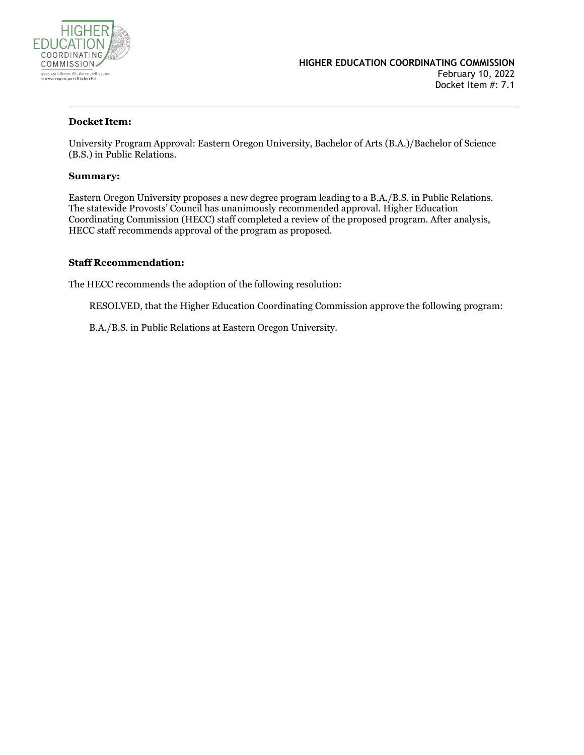

### **Docket Item:**

University Program Approval: Eastern Oregon University, Bachelor of Arts (B.A.)/Bachelor of Science (B.S.) in Public Relations.

#### **Summary:**

Eastern Oregon University proposes a new degree program leading to a B.A./B.S. in Public Relations. The statewide Provosts' Council has unanimously recommended approval. Higher Education Coordinating Commission (HECC) staff completed a review of the proposed program. After analysis, HECC staff recommends approval of the program as proposed.

### **Staff Recommendation:**

The HECC recommends the adoption of the following resolution:

RESOLVED, that the Higher Education Coordinating Commission approve the following program:

B.A./B.S. in Public Relations at Eastern Oregon University.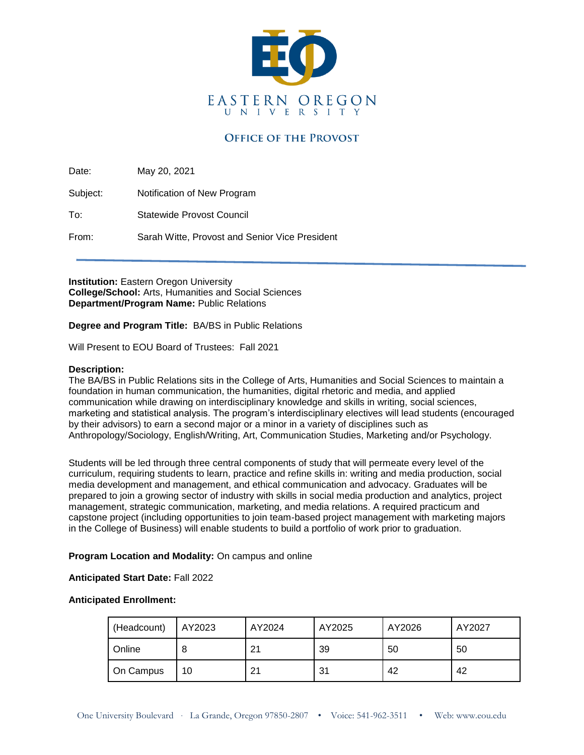

### **OFFICE OF THE PROVOST**

Date: May 20, 2021

Subject: Notification of New Program

To: Statewide Provost Council

From: Sarah Witte, Provost and Senior Vice President

**Institution: Eastern Oregon University College/School:** Arts, Humanities and Social Sciences **Department/Program Name:** Public Relations

**Degree and Program Title:** BA/BS in Public Relations

Will Present to EOU Board of Trustees: Fall 2021

### **Description:**

The BA/BS in Public Relations sits in the College of Arts, Humanities and Social Sciences to maintain a foundation in human communication, the humanities, digital rhetoric and media, and applied communication while drawing on interdisciplinary knowledge and skills in writing, social sciences, marketing and statistical analysis. The program's interdisciplinary electives will lead students (encouraged by their advisors) to earn a second major or a minor in a variety of disciplines such as Anthropology/Sociology, English/Writing, Art, Communication Studies, Marketing and/or Psychology.

Students will be led through three central components of study that will permeate every level of the curriculum, requiring students to learn, practice and refine skills in: writing and media production, social media development and management, and ethical communication and advocacy. Graduates will be prepared to join a growing sector of industry with skills in social media production and analytics, project management, strategic communication, marketing, and media relations. A required practicum and capstone project (including opportunities to join team-based project management with marketing majors in the College of Business) will enable students to build a portfolio of work prior to graduation.

### **Program Location and Modality:** On campus and online

### **Anticipated Start Date:** Fall 2022

### **Anticipated Enrollment:**

| (Headcount) | AY2023 | AY2024 | AY2025 | AY2026 | AY2027 |
|-------------|--------|--------|--------|--------|--------|
| Online      |        | 21     | 39     | 50     | 50     |
| On Campus   | 10     | 21     | 31     | 42     | 42     |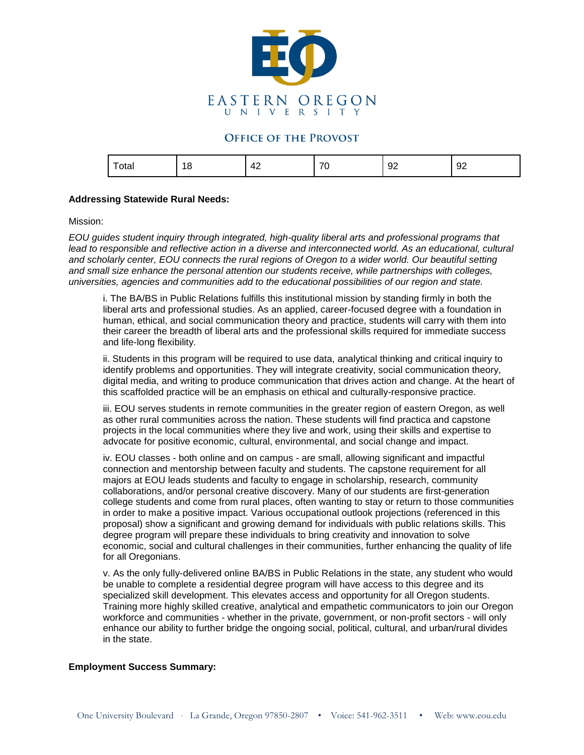

### **OFFICE OF THE PROVOST**

| $\overline{\phantom{0}}$<br>στaι<br>$- - - -$ | 1 <sub>2</sub><br>U | 47<br>. .<br>$\cdot$ $-$ | $\overline{\phantom{a}}$<br>. . | $\sim$<br><br>◡▵ | $\sim$<br>. .<br>◡▵ |
|-----------------------------------------------|---------------------|--------------------------|---------------------------------|------------------|---------------------|
|                                               |                     |                          |                                 |                  |                     |

### **Addressing Statewide Rural Needs:**

#### Mission:

*EOU guides student inquiry through integrated, high-quality liberal arts and professional programs that lead to responsible and reflective action in a diverse and interconnected world. As an educational, cultural and scholarly center, EOU connects the rural regions of Oregon to a wider world. Our beautiful setting and small size enhance the personal attention our students receive, while partnerships with colleges, universities, agencies and communities add to the educational possibilities of our region and state.*

i. The BA/BS in Public Relations fulfills this institutional mission by standing firmly in both the liberal arts and professional studies. As an applied, career-focused degree with a foundation in human, ethical, and social communication theory and practice, students will carry with them into their career the breadth of liberal arts and the professional skills required for immediate success and life-long flexibility.

ii. Students in this program will be required to use data, analytical thinking and critical inquiry to identify problems and opportunities. They will integrate creativity, social communication theory, digital media, and writing to produce communication that drives action and change. At the heart of this scaffolded practice will be an emphasis on ethical and culturally-responsive practice.

iii. EOU serves students in remote communities in the greater region of eastern Oregon, as well as other rural communities across the nation. These students will find practica and capstone projects in the local communities where they live and work, using their skills and expertise to advocate for positive economic, cultural, environmental, and social change and impact.

iv. EOU classes - both online and on campus - are small, allowing significant and impactful connection and mentorship between faculty and students. The capstone requirement for all majors at EOU leads students and faculty to engage in scholarship, research, community collaborations, and/or personal creative discovery. Many of our students are first-generation college students and come from rural places, often wanting to stay or return to those communities in order to make a positive impact. Various occupational outlook projections (referenced in this proposal) show a significant and growing demand for individuals with public relations skills. This degree program will prepare these individuals to bring creativity and innovation to solve economic, social and cultural challenges in their communities, further enhancing the quality of life for all Oregonians.

v. As the only fully-delivered online BA/BS in Public Relations in the state, any student who would be unable to complete a residential degree program will have access to this degree and its specialized skill development. This elevates access and opportunity for all Oregon students. Training more highly skilled creative, analytical and empathetic communicators to join our Oregon workforce and communities - whether in the private, government, or non-profit sectors - will only enhance our ability to further bridge the ongoing social, political, cultural, and urban/rural divides in the state.

### **Employment Success Summary:**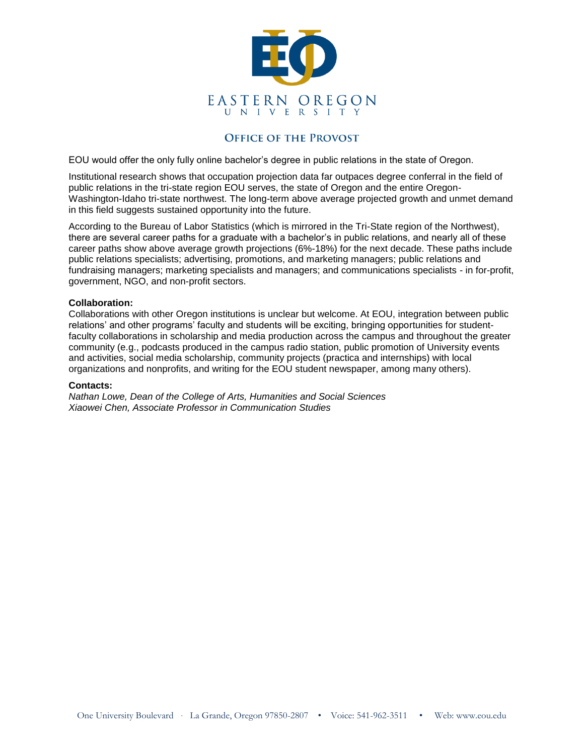

### **OFFICE OF THE PROVOST**

EOU would offer the only fully online bachelor's degree in public relations in the state of Oregon.

Institutional research shows that occupation projection data far outpaces degree conferral in the field of public relations in the tri-state region EOU serves, the state of Oregon and the entire Oregon-Washington-Idaho tri-state northwest. The long-term above average projected growth and unmet demand in this field suggests sustained opportunity into the future.

According to the Bureau of Labor Statistics (which is mirrored in the Tri-State region of the Northwest), there are several career paths for a graduate with a bachelor's in public relations, and nearly all of these career paths show above average growth projections (6%-18%) for the next decade. These paths include public relations specialists; advertising, promotions, and marketing managers; public relations and fundraising managers; marketing specialists and managers; and communications specialists - in for-profit, government, NGO, and non-profit sectors.

### **Collaboration:**

Collaborations with other Oregon institutions is unclear but welcome. At EOU, integration between public relations' and other programs' faculty and students will be exciting, bringing opportunities for studentfaculty collaborations in scholarship and media production across the campus and throughout the greater community (e.g., podcasts produced in the campus radio station, public promotion of University events and activities, social media scholarship, community projects (practica and internships) with local organizations and nonprofits, and writing for the EOU student newspaper, among many others).

#### **Contacts:**

*Nathan Lowe, Dean of the College of Arts, Humanities and Social Sciences Xiaowei Chen, Associate Professor in Communication Studies*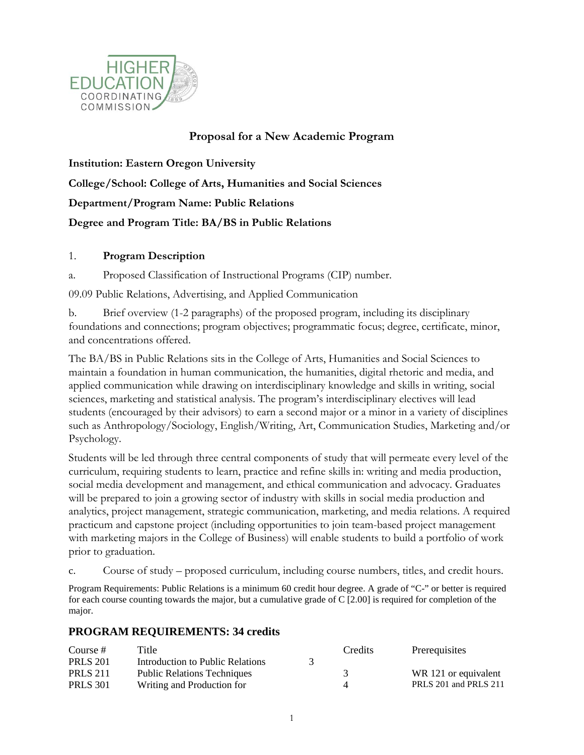

## **Proposal for a New Academic Program**

**Institution: Eastern Oregon University College/School: College of Arts, Humanities and Social Sciences Department/Program Name: Public Relations Degree and Program Title: BA/BS in Public Relations**

### 1. **Program Description**

a. Proposed Classification of Instructional Programs (CIP) number.

09.09 Public Relations, Advertising, and Applied Communication

b. Brief overview (1-2 paragraphs) of the proposed program, including its disciplinary foundations and connections; program objectives; programmatic focus; degree, certificate, minor, and concentrations offered.

The BA/BS in Public Relations sits in the College of Arts, Humanities and Social Sciences to maintain a foundation in human communication, the humanities, digital rhetoric and media, and applied communication while drawing on interdisciplinary knowledge and skills in writing, social sciences, marketing and statistical analysis. The program's interdisciplinary electives will lead students (encouraged by their advisors) to earn a second major or a minor in a variety of disciplines such as Anthropology/Sociology, English/Writing, Art, Communication Studies, Marketing and/or Psychology.

Students will be led through three central components of study that will permeate every level of the curriculum, requiring students to learn, practice and refine skills in: writing and media production, social media development and management, and ethical communication and advocacy. Graduates will be prepared to join a growing sector of industry with skills in social media production and analytics, project management, strategic communication, marketing, and media relations. A required practicum and capstone project (including opportunities to join team-based project management with marketing majors in the College of Business) will enable students to build a portfolio of work prior to graduation.

c. Course of study – proposed curriculum, including course numbers, titles, and credit hours.

Program Requirements: Public Relations is a minimum 60 credit hour degree. A grade of "C-" or better is required for each course counting towards the major, but a cumulative grade of C [2.00] is required for completion of the major.

### **PROGRAM REQUIREMENTS: 34 credits**

| Course #        | Title                              | Credits | Prerequisites         |
|-----------------|------------------------------------|---------|-----------------------|
| <b>PRLS 201</b> | Introduction to Public Relations   |         |                       |
| <b>PRLS 211</b> | <b>Public Relations Techniques</b> |         | WR 121 or equivalent  |
| <b>PRLS</b> 301 | Writing and Production for         |         | PRLS 201 and PRLS 211 |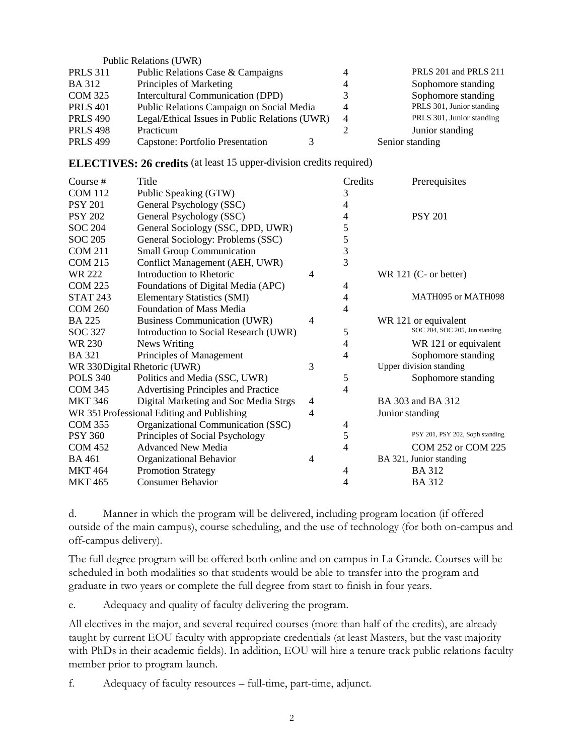|                 | <b>Public Relations (UWR)</b>                  |   |                           |
|-----------------|------------------------------------------------|---|---------------------------|
| <b>PRLS 311</b> | Public Relations Case & Campaigns              |   | PRLS 201 and PRLS 211     |
| <b>BA</b> 312   | Principles of Marketing                        |   | Sophomore standing        |
| <b>COM 325</b>  | <b>Intercultural Communication (DPD)</b>       |   | Sophomore standing        |
| <b>PRLS 401</b> | Public Relations Campaign on Social Media      | 4 | PRLS 301, Junior standing |
| <b>PRLS 490</b> | Legal/Ethical Issues in Public Relations (UWR) | 4 | PRLS 301, Junior standing |
| <b>PRLS 498</b> | Practicum                                      |   | Junior standing           |
| <b>PRLS 499</b> | Capstone: Portfolio Presentation               |   | Senior standing           |

| <b>ELECTIVES: 26 credits</b> (at least 15 upper-division credits required) |  |  |
|----------------------------------------------------------------------------|--|--|
|----------------------------------------------------------------------------|--|--|

| Course#         | Title                                      |                | Credits        | Prerequisites                   |
|-----------------|--------------------------------------------|----------------|----------------|---------------------------------|
| <b>COM 112</b>  | Public Speaking (GTW)                      |                | 3              |                                 |
| <b>PSY 201</b>  | General Psychology (SSC)                   |                | 4              |                                 |
| <b>PSY 202</b>  | General Psychology (SSC)                   |                | 4              | <b>PSY 201</b>                  |
| <b>SOC 204</b>  | General Sociology (SSC, DPD, UWR)          |                | 5              |                                 |
| <b>SOC 205</b>  | General Sociology: Problems (SSC)          |                | 5              |                                 |
| <b>COM 211</b>  | <b>Small Group Communication</b>           |                | 3              |                                 |
| <b>COM 215</b>  | Conflict Management (AEH, UWR)             |                | $\overline{3}$ |                                 |
| WR 222          | Introduction to Rhetoric                   | 4              |                | WR 121 (C- or better)           |
| <b>COM 225</b>  | Foundations of Digital Media (APC)         |                | 4              |                                 |
| <b>STAT 243</b> | <b>Elementary Statistics (SMI)</b>         |                | 4              | MATH095 or MATH098              |
| <b>COM 260</b>  | Foundation of Mass Media                   |                | 4              |                                 |
| <b>BA 225</b>   | <b>Business Communication (UWR)</b>        | 4              |                | WR 121 or equivalent            |
| SOC 327         | Introduction to Social Research (UWR)      |                | 5              | SOC 204, SOC 205, Jun standing  |
| WR 230          | <b>News Writing</b>                        |                | 4              | WR 121 or equivalent            |
| <b>BA</b> 321   | Principles of Management                   |                | 4              | Sophomore standing              |
|                 | WR 330Digital Rhetoric (UWR)               | 3              |                | Upper division standing         |
| <b>POLS 340</b> | Politics and Media (SSC, UWR)              |                | 5              | Sophomore standing              |
| <b>COM 345</b>  | <b>Advertising Principles and Practice</b> |                | 4              |                                 |
| <b>MKT 346</b>  | Digital Marketing and Soc Media Strgs      | $\overline{4}$ |                | BA 303 and BA 312               |
|                 | WR 351Professional Editing and Publishing  | 4              |                | Junior standing                 |
| <b>COM 355</b>  | Organizational Communication (SSC)         |                | 4              |                                 |
| <b>PSY 360</b>  | Principles of Social Psychology            |                | 5              | PSY 201, PSY 202, Soph standing |
| <b>COM 452</b>  | <b>Advanced New Media</b>                  |                | 4              | COM 252 or COM 225              |
| <b>BA 461</b>   | Organizational Behavior                    | 4              |                | BA 321, Junior standing         |
| <b>MKT 464</b>  | <b>Promotion Strategy</b>                  |                | 4              | <b>BA312</b>                    |
| <b>MKT 465</b>  | <b>Consumer Behavior</b>                   |                | 4              | <b>BA312</b>                    |

d. Manner in which the program will be delivered, including program location (if offered outside of the main campus), course scheduling, and the use of technology (for both on-campus and off-campus delivery).

The full degree program will be offered both online and on campus in La Grande. Courses will be scheduled in both modalities so that students would be able to transfer into the program and graduate in two years or complete the full degree from start to finish in four years.

e. Adequacy and quality of faculty delivering the program.

All electives in the major, and several required courses (more than half of the credits), are already taught by current EOU faculty with appropriate credentials (at least Masters, but the vast majority with PhDs in their academic fields). In addition, EOU will hire a tenure track public relations faculty member prior to program launch.

f. Adequacy of faculty resources – full-time, part-time, adjunct.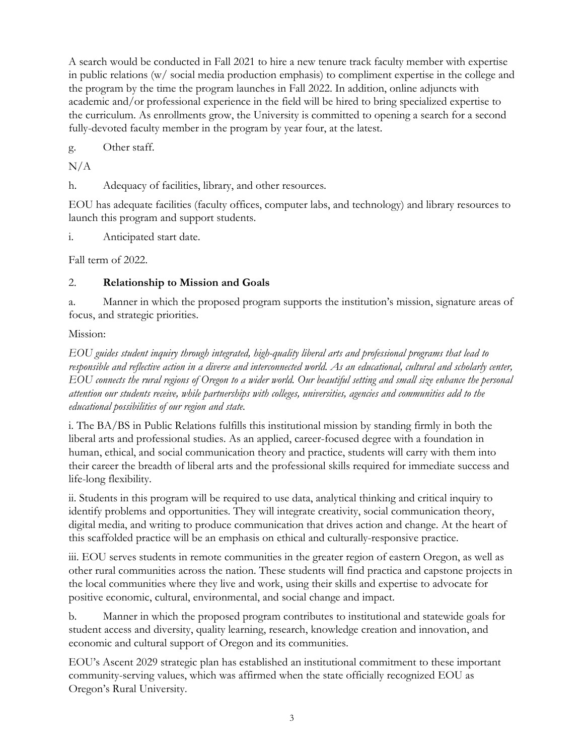A search would be conducted in Fall 2021 to hire a new tenure track faculty member with expertise in public relations (w/ social media production emphasis) to compliment expertise in the college and the program by the time the program launches in Fall 2022. In addition, online adjuncts with academic and/or professional experience in the field will be hired to bring specialized expertise to the curriculum. As enrollments grow, the University is committed to opening a search for a second fully-devoted faculty member in the program by year four, at the latest.

g. Other staff.

 $N/A$ 

h. Adequacy of facilities, library, and other resources.

EOU has adequate facilities (faculty offices, computer labs, and technology) and library resources to launch this program and support students.

i. Anticipated start date.

Fall term of 2022.

## 2. **Relationship to Mission and Goals**

a. Manner in which the proposed program supports the institution's mission, signature areas of focus, and strategic priorities.

## Mission:

*EOU guides student inquiry through integrated, high-quality liberal arts and professional programs that lead to responsible and reflective action in a diverse and interconnected world. As an educational, cultural and scholarly center, EOU connects the rural regions of Oregon to a wider world. Our beautiful setting and small size enhance the personal attention our students receive, while partnerships with colleges, universities, agencies and communities add to the educational possibilities of our region and state.*

i. The BA/BS in Public Relations fulfills this institutional mission by standing firmly in both the liberal arts and professional studies. As an applied, career-focused degree with a foundation in human, ethical, and social communication theory and practice, students will carry with them into their career the breadth of liberal arts and the professional skills required for immediate success and life-long flexibility.

ii. Students in this program will be required to use data, analytical thinking and critical inquiry to identify problems and opportunities. They will integrate creativity, social communication theory, digital media, and writing to produce communication that drives action and change. At the heart of this scaffolded practice will be an emphasis on ethical and culturally-responsive practice.

iii. EOU serves students in remote communities in the greater region of eastern Oregon, as well as other rural communities across the nation. These students will find practica and capstone projects in the local communities where they live and work, using their skills and expertise to advocate for positive economic, cultural, environmental, and social change and impact.

b. Manner in which the proposed program contributes to institutional and statewide goals for student access and diversity, quality learning, research, knowledge creation and innovation, and economic and cultural support of Oregon and its communities.

EOU's Ascent 2029 strategic plan has established an institutional commitment to these important community-serving values, which was affirmed when the state officially recognized EOU as Oregon's Rural University.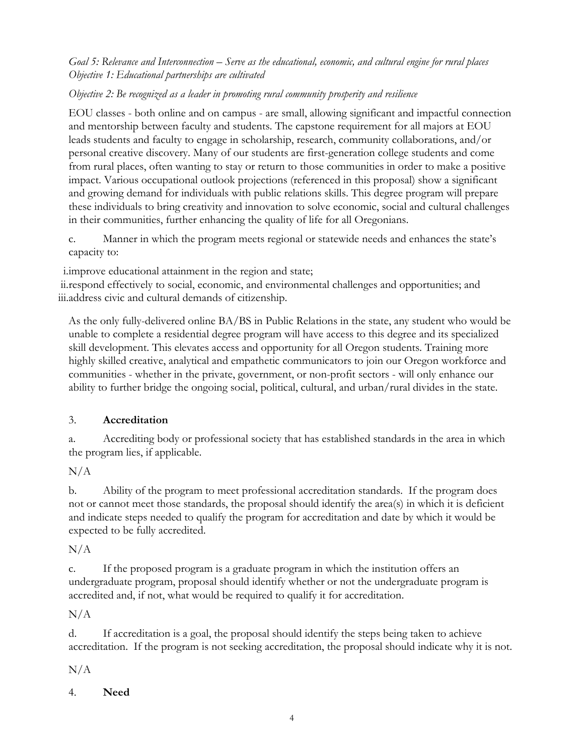## *Goal 5: Relevance and Interconnection – Serve as the educational, economic, and cultural engine for rural places Objective 1: Educational partnerships are cultivated*

## *Objective 2: Be recognized as a leader in promoting rural community prosperity and resilience*

EOU classes - both online and on campus - are small, allowing significant and impactful connection and mentorship between faculty and students. The capstone requirement for all majors at EOU leads students and faculty to engage in scholarship, research, community collaborations, and/or personal creative discovery. Many of our students are first-generation college students and come from rural places, often wanting to stay or return to those communities in order to make a positive impact. Various occupational outlook projections (referenced in this proposal) show a significant and growing demand for individuals with public relations skills. This degree program will prepare these individuals to bring creativity and innovation to solve economic, social and cultural challenges in their communities, further enhancing the quality of life for all Oregonians.

c. Manner in which the program meets regional or statewide needs and enhances the state's capacity to:

i.improve educational attainment in the region and state;

ii.respond effectively to social, economic, and environmental challenges and opportunities; and iii.address civic and cultural demands of citizenship.

As the only fully-delivered online BA/BS in Public Relations in the state, any student who would be unable to complete a residential degree program will have access to this degree and its specialized skill development. This elevates access and opportunity for all Oregon students. Training more highly skilled creative, analytical and empathetic communicators to join our Oregon workforce and communities - whether in the private, government, or non-profit sectors - will only enhance our ability to further bridge the ongoing social, political, cultural, and urban/rural divides in the state.

# 3. **Accreditation**

a. Accrediting body or professional society that has established standards in the area in which the program lies, if applicable.

N/A

b. Ability of the program to meet professional accreditation standards. If the program does not or cannot meet those standards, the proposal should identify the area(s) in which it is deficient and indicate steps needed to qualify the program for accreditation and date by which it would be expected to be fully accredited.

 $N/A$ 

c. If the proposed program is a graduate program in which the institution offers an undergraduate program, proposal should identify whether or not the undergraduate program is accredited and, if not, what would be required to qualify it for accreditation.

N/A

d. If accreditation is a goal, the proposal should identify the steps being taken to achieve accreditation. If the program is not seeking accreditation, the proposal should indicate why it is not.

 $N/A$ 

4. **Need**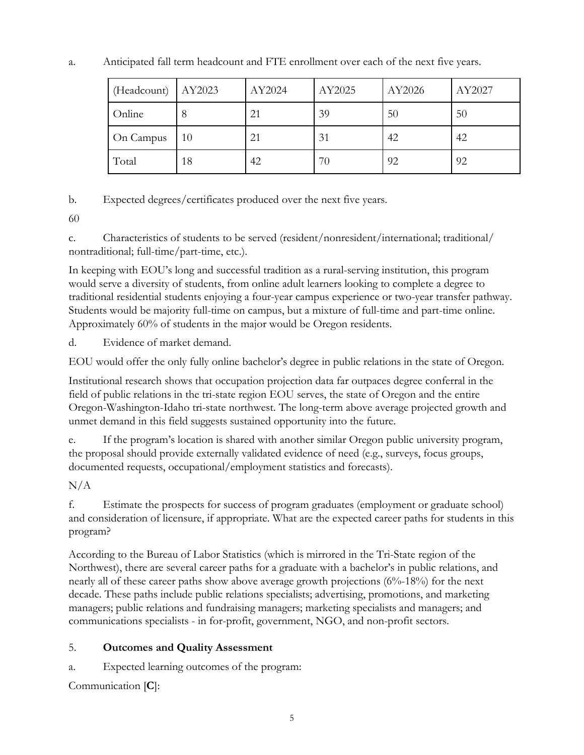a. Anticipated fall term headcount and FTE enrollment over each of the next five years.

| (Headcount) | AY2023 | AY2024 | AY2025 | AY2026 | AY2027 |
|-------------|--------|--------|--------|--------|--------|
| Online      | 8      | 21     | 39     | 50     | 50     |
| On Campus   | 10     | 21     | 31     | 42     | 42     |
| Total       | 18     | 42     | 70     | 92     | 92     |

b. Expected degrees/certificates produced over the next five years.

60

c. Characteristics of students to be served (resident/nonresident/international; traditional/ nontraditional; full-time/part-time, etc.).

In keeping with EOU's long and successful tradition as a rural-serving institution, this program would serve a diversity of students, from online adult learners looking to complete a degree to traditional residential students enjoying a four-year campus experience or two-year transfer pathway. Students would be majority full-time on campus, but a mixture of full-time and part-time online. Approximately 60% of students in the major would be Oregon residents.

d. Evidence of market demand.

EOU would offer the only fully online bachelor's degree in public relations in the state of Oregon.

Institutional research shows that occupation projection data far outpaces degree conferral in the field of public relations in the tri-state region EOU serves, the state of Oregon and the entire Oregon-Washington-Idaho tri-state northwest. The long-term above average projected growth and unmet demand in this field suggests sustained opportunity into the future.

e. If the program's location is shared with another similar Oregon public university program, the proposal should provide externally validated evidence of need (e.g., surveys, focus groups, documented requests, occupational/employment statistics and forecasts).

 $N/A$ 

f. Estimate the prospects for success of program graduates (employment or graduate school) and consideration of licensure, if appropriate. What are the expected career paths for students in this program?

According to the Bureau of Labor Statistics (which is mirrored in the Tri-State region of the Northwest), there are several career paths for a graduate with a bachelor's in public relations, and nearly all of these career paths show above average growth projections (6%-18%) for the next decade. These paths include public relations specialists; advertising, promotions, and marketing managers; public relations and fundraising managers; marketing specialists and managers; and communications specialists - in for-profit, government, NGO, and non-profit sectors.

# 5. **Outcomes and Quality Assessment**

a. Expected learning outcomes of the program:

Communication [**C**]: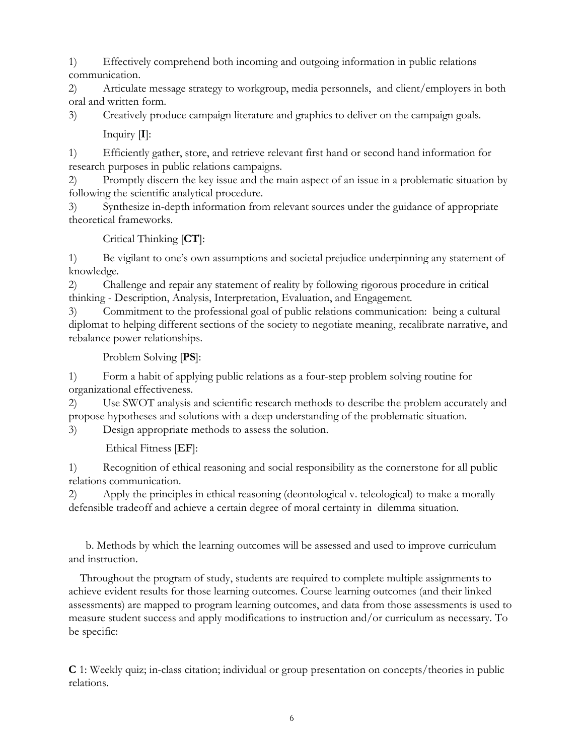1) Effectively comprehend both incoming and outgoing information in public relations communication.

2) Articulate message strategy to workgroup, media personnels, and client/employers in both oral and written form.

3) Creatively produce campaign literature and graphics to deliver on the campaign goals. Inquiry [**I**]:

1) Efficiently gather, store, and retrieve relevant first hand or second hand information for research purposes in public relations campaigns.

2) Promptly discern the key issue and the main aspect of an issue in a problematic situation by following the scientific analytical procedure.

3) Synthesize in-depth information from relevant sources under the guidance of appropriate theoretical frameworks.

Critical Thinking [**CT**]:

1) Be vigilant to one's own assumptions and societal prejudice underpinning any statement of knowledge.

2) Challenge and repair any statement of reality by following rigorous procedure in critical thinking - Description, Analysis, Interpretation, Evaluation, and Engagement.

3) Commitment to the professional goal of public relations communication: being a cultural diplomat to helping different sections of the society to negotiate meaning, recalibrate narrative, and rebalance power relationships.

Problem Solving [**PS**]:

1) Form a habit of applying public relations as a four-step problem solving routine for organizational effectiveness.

2) Use SWOT analysis and scientific research methods to describe the problem accurately and propose hypotheses and solutions with a deep understanding of the problematic situation.

3) Design appropriate methods to assess the solution.

Ethical Fitness [**EF**]:

1) Recognition of ethical reasoning and social responsibility as the cornerstone for all public relations communication.

2) Apply the principles in ethical reasoning (deontological v. teleological) to make a morally defensible tradeoff and achieve a certain degree of moral certainty in dilemma situation.

 b. Methods by which the learning outcomes will be assessed and used to improve curriculum and instruction.

 Throughout the program of study, students are required to complete multiple assignments to achieve evident results for those learning outcomes. Course learning outcomes (and their linked assessments) are mapped to program learning outcomes, and data from those assessments is used to measure student success and apply modifications to instruction and/or curriculum as necessary. To be specific:

**C** 1: Weekly quiz; in-class citation; individual or group presentation on concepts/theories in public relations.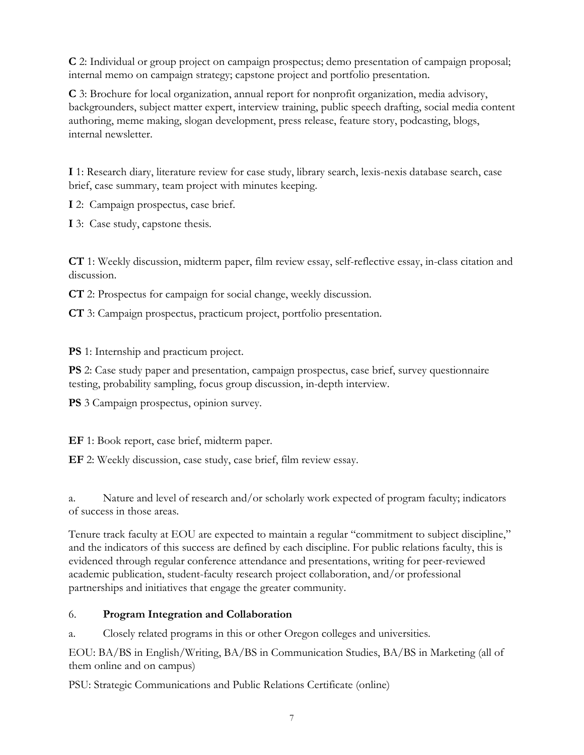**C** 2: Individual or group project on campaign prospectus; demo presentation of campaign proposal; internal memo on campaign strategy; capstone project and portfolio presentation.

**C** 3: Brochure for local organization, annual report for nonprofit organization, media advisory, backgrounders, subject matter expert, interview training, public speech drafting, social media content authoring, meme making, slogan development, press release, feature story, podcasting, blogs, internal newsletter.

**I** 1: Research diary, literature review for case study, library search, lexis-nexis database search, case brief, case summary, team project with minutes keeping.

**I** 2: Campaign prospectus, case brief.

**I** 3: Case study, capstone thesis.

**CT** 1: Weekly discussion, midterm paper, film review essay, self-reflective essay, in-class citation and discussion.

**CT** 2: Prospectus for campaign for social change, weekly discussion.

**CT** 3: Campaign prospectus, practicum project, portfolio presentation.

**PS** 1: Internship and practicum project.

**PS** 2: Case study paper and presentation, campaign prospectus, case brief, survey questionnaire testing, probability sampling, focus group discussion, in-depth interview.

**PS** 3 Campaign prospectus, opinion survey.

**EF** 1: Book report, case brief, midterm paper.

**EF** 2: Weekly discussion, case study, case brief, film review essay.

a. Nature and level of research and/or scholarly work expected of program faculty; indicators of success in those areas.

Tenure track faculty at EOU are expected to maintain a regular "commitment to subject discipline," and the indicators of this success are defined by each discipline. For public relations faculty, this is evidenced through regular conference attendance and presentations, writing for peer-reviewed academic publication, student-faculty research project collaboration, and/or professional partnerships and initiatives that engage the greater community.

## 6. **Program Integration and Collaboration**

a. Closely related programs in this or other Oregon colleges and universities.

EOU: BA/BS in English/Writing, BA/BS in Communication Studies, BA/BS in Marketing (all of them online and on campus)

PSU: Strategic Communications and Public Relations Certificate (online)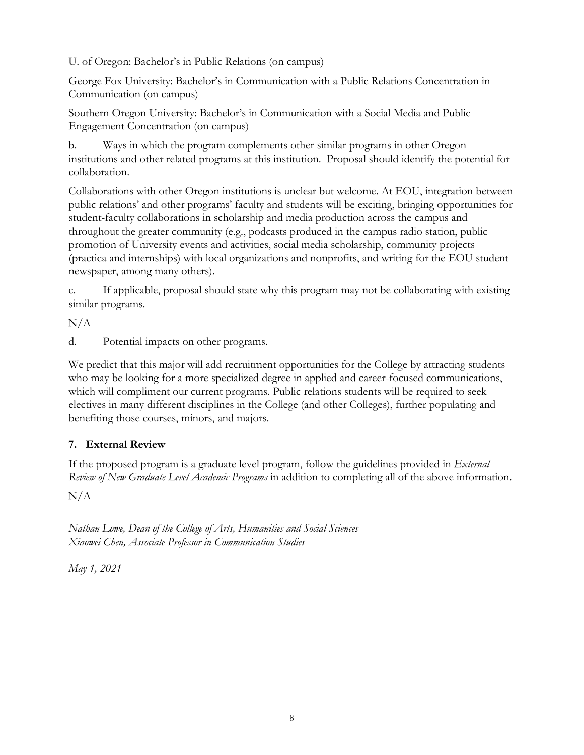U. of Oregon: Bachelor's in Public Relations (on campus)

George Fox University: Bachelor's in Communication with a Public Relations Concentration in Communication (on campus)

Southern Oregon University: Bachelor's in Communication with a Social Media and Public Engagement Concentration (on campus)

b. Ways in which the program complements other similar programs in other Oregon institutions and other related programs at this institution. Proposal should identify the potential for collaboration.

Collaborations with other Oregon institutions is unclear but welcome. At EOU, integration between public relations' and other programs' faculty and students will be exciting, bringing opportunities for student-faculty collaborations in scholarship and media production across the campus and throughout the greater community (e.g., podcasts produced in the campus radio station, public promotion of University events and activities, social media scholarship, community projects (practica and internships) with local organizations and nonprofits, and writing for the EOU student newspaper, among many others).

c. If applicable, proposal should state why this program may not be collaborating with existing similar programs.

 $N/A$ 

d. Potential impacts on other programs.

We predict that this major will add recruitment opportunities for the College by attracting students who may be looking for a more specialized degree in applied and career-focused communications, which will compliment our current programs. Public relations students will be required to seek electives in many different disciplines in the College (and other Colleges), further populating and benefiting those courses, minors, and majors.

## **7. External Review**

If the proposed program is a graduate level program, follow the guidelines provided in *External Review of New Graduate Level Academic Programs* in addition to completing all of the above information.

 $N/A$ 

*Nathan Lowe, Dean of the College of Arts, Humanities and Social Sciences Xiaowei Chen, Associate Professor in Communication Studies*

*May 1, 2021*